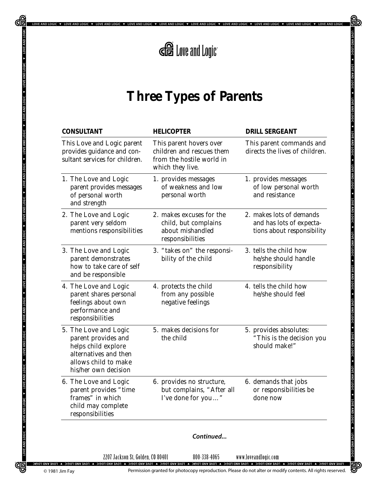

.<br>DLOGIC ♥ LOVEANDLOGIC ♥ LOVEANDLOGIC ♥ LOVEANDLOGIC ♥ LOVEANDLOGIC ♥ LOVEANDLOGIC ♥ LOVEANDLOGIC ♥ LOVEANDLOGIC ♥ LOVEANDLOGI

ਜ਼)

∰

## **Three Types of Parents**

| <b>CONSULTANT</b>                                                                                                                            | <b>HELICOPTER</b>                                                                                     | <b>DRILL SERGEANT</b>                                                              |
|----------------------------------------------------------------------------------------------------------------------------------------------|-------------------------------------------------------------------------------------------------------|------------------------------------------------------------------------------------|
| This Love and Logic parent<br>provides guidance and con-<br>sultant services for children.                                                   | This parent hovers over<br>children and rescues them<br>from the hostile world in<br>which they live. | This parent commands and<br>directs the lives of children.                         |
| 1. The Love and Logic<br>parent provides messages<br>of personal worth<br>and strength                                                       | 1. provides messages<br>of weakness and low<br>personal worth                                         | 1. provides messages<br>of low personal worth<br>and resistance                    |
| 2. The Love and Logic<br>parent very seldom<br>mentions responsibilities                                                                     | 2. makes excuses for the<br>child, but complains<br>about mishandled<br>responsibilities              | 2. makes lots of demands<br>and has lots of expecta-<br>tions about responsibility |
| 3. The Love and Logic<br>parent demonstrates<br>how to take care of self<br>and be responsible                                               | 3. "takes on" the responsi-<br>bility of the child                                                    | 3. tells the child how<br>he/she should handle<br>responsibility                   |
| 4. The Love and Logic<br>parent shares personal<br>feelings about own<br>performance and<br>responsibilities                                 | 4. protects the child<br>from any possible<br>negative feelings                                       | 4. tells the child how<br>he/she should feel                                       |
| 5. The Love and Logic<br>parent provides and<br>helps child explore<br>alternatives and then<br>allows child to make<br>his/her own decision | 5. makes decisions for<br>the child                                                                   | 5. provides absolutes:<br>"This is the decision you<br>should make!"               |
| 6. The Love and Logic<br>parent provides "time<br>frames" in which<br>child may complete<br>responsibilities                                 | 6. provides no structure,<br>but complains, "After all<br>I've done for you"                          | 6. demands that jobs<br>or responsibilities be<br>done now                         |
|                                                                                                                                              | Continued                                                                                             |                                                                                    |

2207 Jackson St, Golden, CO 80401 800-338-4065 www.loveandlogic.com

Œ

LOVE AND LOGIC

LOVE AND LOGIC + LOVE AND LOGIC + LOVE AND LOGIC + LOVE AND LOGIC + LOVE AND LOGIC + LOVE AND LOGIC + LOVE AND LOGIC + LOVE AND LOGIC + LOVE AND LOGIC + LOVE AND LOGIC + LOVE AND LOGIC + LOVE AND LOGIC + LOVE AND LOGIC + L

OVE AND LOGIC V LOVE AND LOGIC V

₩

Permission granted for photocopy reproduction. Please do not alter or modify contents. All rights reserved.